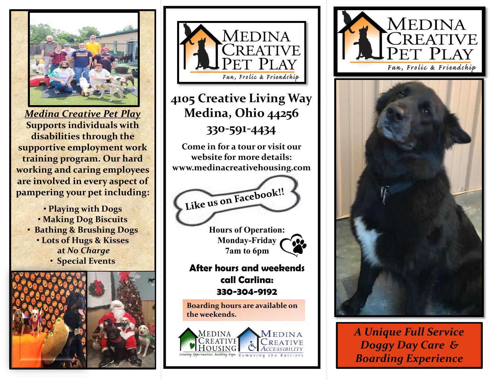

*Medina Creative Pet Play* **Supports individuals with disabilities through the supportive employment work training program. Our hard working and caring employees are involved in every aspect of pampering your pet including:**

• **Playing with Dogs** • **Making Dog Biscuits** • **Bathing & Brushing Dogs** • **Lots of Hugs & Kisses at** *No Charge* • **Special Events**





### **4105 Creative Living Way Medina, Ohio 44256 330-591-4434**

**Come in for a tour or visit our website for more details: www.medinacreativehousing.com**

Like us on Facebook!!

**Hours of Operation: Monday-Friday 7am to 6pm**

#### **After hours and weekends call Carlina: 330-304-9192**

**Boarding hours are available on the weekends.**







*A Unique Full Service Doggy Day Care & Boarding Experience*